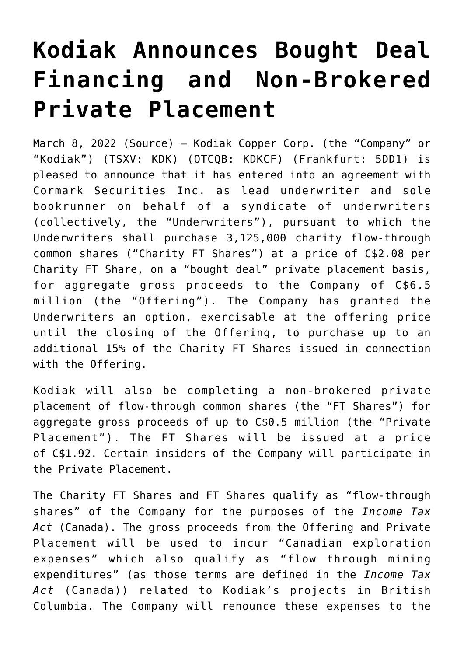## **[Kodiak Announces Bought Deal](https://investorintel.com/markets/technology-metals/technology-metals-news/kodiak-announces-bought-deal-financing-and-non-brokered-private-placement/) [Financing and Non-Brokered](https://investorintel.com/markets/technology-metals/technology-metals-news/kodiak-announces-bought-deal-financing-and-non-brokered-private-placement/) [Private Placement](https://investorintel.com/markets/technology-metals/technology-metals-news/kodiak-announces-bought-deal-financing-and-non-brokered-private-placement/)**

March 8, 2022 [\(Source](https://www.newswire.ca/news-releases/kodiak-announces-bought-deal-financing-and-non-brokered-private-placement-802504769.html)) — Kodiak Copper Corp. (the "Company" or "Kodiak") (TSXV: [KDK\)](https://www.newswire.ca/news-releases/kodiak-announces-bought-deal-financing-and-non-brokered-private-placement-802504769.html#financial-modal) (OTCQB: KDKCF) (Frankfurt: 5DD1) is pleased to announce that it has entered into an agreement with Cormark Securities Inc. as lead underwriter and sole bookrunner on behalf of a syndicate of underwriters (collectively, the "Underwriters"), pursuant to which the Underwriters shall purchase 3,125,000 charity flow-through common shares ("Charity FT Shares") at a price of C\$2.08 per Charity FT Share, on a "bought deal" private placement basis, for aggregate gross proceeds to the Company of C\$6.5 million (the "Offering"). The Company has granted the Underwriters an option, exercisable at the offering price until the closing of the Offering, to purchase up to an additional 15% of the Charity FT Shares issued in connection with the Offering.

Kodiak will also be completing a non-brokered private placement of flow-through common shares (the "FT Shares") for aggregate gross proceeds of up to C\$0.5 million (the "Private Placement"). The FT Shares will be issued at a price of C\$1.92. Certain insiders of the Company will participate in the Private Placement.

The Charity FT Shares and FT Shares qualify as "flow-through shares" of the Company for the purposes of the *Income Tax Act* (Canada). The gross proceeds from the Offering and Private Placement will be used to incur "Canadian exploration expenses" which also qualify as "flow through mining expenditures" (as those terms are defined in the *Income Tax Act* (Canada)) related to Kodiak's projects in British Columbia. The Company will renounce these expenses to the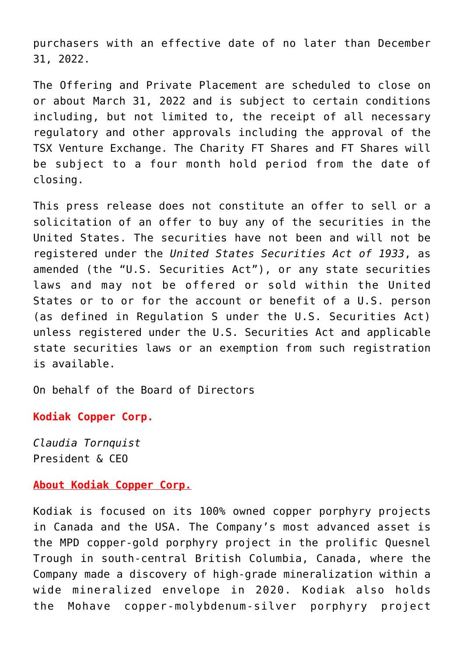purchasers with an effective date of no later than December 31, 2022.

The Offering and Private Placement are scheduled to close on or about March 31, 2022 and is subject to certain conditions including, but not limited to, the receipt of all necessary regulatory and other approvals including the approval of the TSX Venture Exchange. The Charity FT Shares and FT Shares will be subject to a four month hold period from the date of closing.

This press release does not constitute an offer to sell or a solicitation of an offer to buy any of the securities in the United States. The securities have not been and will not be registered under the *United States Securities Act of 1933*, as amended (the "U.S. Securities Act"), or any state securities laws and may not be offered or sold within the United States or to or for the account or benefit of a U.S. person (as defined in Regulation S under the U.S. Securities Act) unless registered under the U.S. Securities Act and applicable state securities laws or an exemption from such registration is available.

On behalf of the Board of Directors

**Kodiak Copper Corp.**

*Claudia Tornquist* President & CEO

## **About Kodiak Copper Corp.**

Kodiak is focused on its 100% owned copper porphyry projects in Canada and the USA. The Company's most advanced asset is the MPD copper-gold porphyry project in the prolific Quesnel Trough in south-central British Columbia, Canada, where the Company made a discovery of high-grade mineralization within a wide mineralized envelope in 2020. Kodiak also holds the Mohave copper-molybdenum-silver porphyry project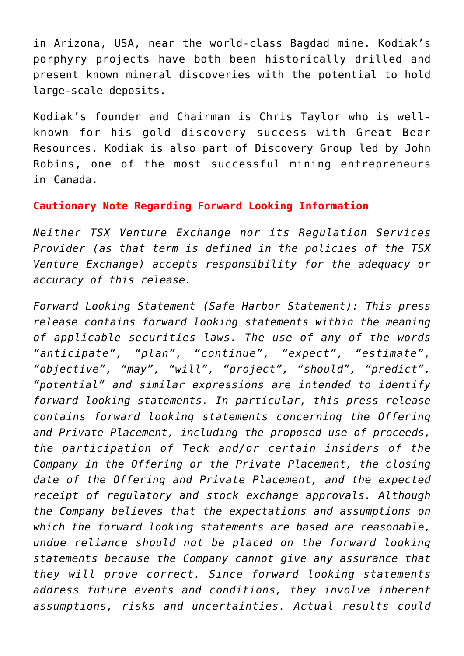in Arizona, USA, near the world-class Bagdad mine. Kodiak's porphyry projects have both been historically drilled and present known mineral discoveries with the potential to hold large-scale deposits.

Kodiak's founder and Chairman is Chris Taylor who is wellknown for his gold discovery success with Great Bear Resources. Kodiak is also part of Discovery Group led by John Robins, one of the most successful mining entrepreneurs in Canada.

## **Cautionary Note Regarding Forward Looking Information**

*Neither TSX Venture Exchange nor its Regulation Services Provider (as that term is defined in the policies of the TSX Venture Exchange) accepts responsibility for the adequacy or accuracy of this release.*

*Forward Looking Statement (Safe Harbor Statement): This press release contains forward looking statements within the meaning of applicable securities laws. The use of any of the words "anticipate", "plan", "continue", "expect", "estimate", "objective", "may", "will", "project", "should", "predict", "potential" and similar expressions are intended to identify forward looking statements. In particular, this press release contains forward looking statements concerning the Offering and Private Placement, including the proposed use of proceeds, the participation of Teck and/or certain insiders of the Company in the Offering or the Private Placement, the closing date of the Offering and Private Placement, and the expected receipt of regulatory and stock exchange approvals. Although the Company believes that the expectations and assumptions on which the forward looking statements are based are reasonable, undue reliance should not be placed on the forward looking statements because the Company cannot give any assurance that they will prove correct. Since forward looking statements address future events and conditions, they involve inherent assumptions, risks and uncertainties. Actual results could*